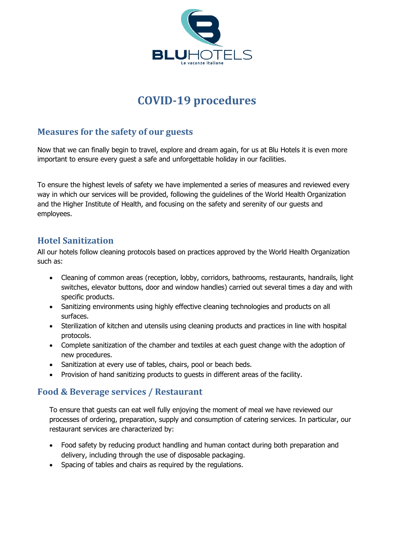

# **COVID-19 procedures**

## **Measures for the safety of our guests**

Now that we can finally begin to travel, explore and dream again, for us at Blu Hotels it is even more important to ensure every guest a safe and unforgettable holiday in our facilities.

To ensure the highest levels of safety we have implemented a series of measures and reviewed every way in which our services will be provided, following the guidelines of the World Health Organization and the Higher Institute of Health, and focusing on the safety and serenity of our guests and employees.

### **Hotel Sanitization**

All our hotels follow cleaning protocols based on practices approved by the World Health Organization such as:

- Cleaning of common areas (reception, lobby, corridors, bathrooms, restaurants, handrails, light switches, elevator buttons, door and window handles) carried out several times a day and with specific products.
- Sanitizing environments using highly effective cleaning technologies and products on all surfaces.
- Sterilization of kitchen and utensils using cleaning products and practices in line with hospital protocols.
- Complete sanitization of the chamber and textiles at each guest change with the adoption of new procedures.
- Sanitization at every use of tables, chairs, pool or beach beds.
- Provision of hand sanitizing products to guests in different areas of the facility.

#### **Food & Beverage services / Restaurant**

To ensure that guests can eat well fully enjoying the moment of meal we have reviewed our processes of ordering, preparation, supply and consumption of catering services. In particular, our restaurant services are characterized by:

- Food safety by reducing product handling and human contact during both preparation and delivery, including through the use of disposable packaging.
- Spacing of tables and chairs as required by the regulations.